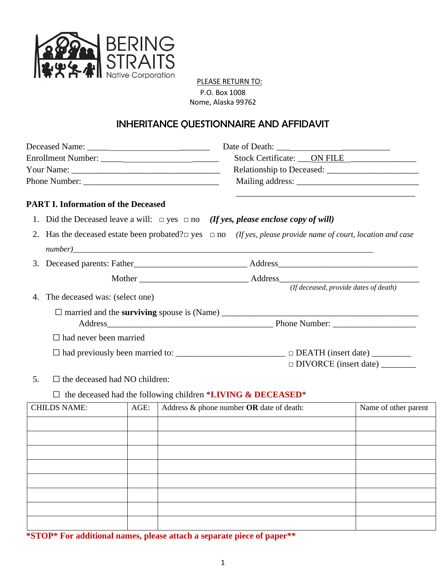

PLEASE RETURN TO: P.O. Box 1008 Nome, Alaska 99762

## INHERITANCE QUESTIONNAIRE AND AFFIDAVIT

|                                                                                                                               |                                                                                                     |      |  |                                                                    |                                 | Stock Certificate: ____ ON FILE |
|-------------------------------------------------------------------------------------------------------------------------------|-----------------------------------------------------------------------------------------------------|------|--|--------------------------------------------------------------------|---------------------------------|---------------------------------|
|                                                                                                                               |                                                                                                     |      |  |                                                                    |                                 |                                 |
|                                                                                                                               |                                                                                                     |      |  |                                                                    |                                 |                                 |
|                                                                                                                               | <b>PART I. Information of the Deceased</b>                                                          |      |  |                                                                    |                                 |                                 |
|                                                                                                                               | 1. Did the Deceased leave a will: $\Box$ yes $\Box$ no <i>(If yes, please enclose copy of will)</i> |      |  |                                                                    |                                 |                                 |
| 2. Has the deceased estate been probated? $\square$ yes $\square$ no (If yes, please provide name of court, location and case |                                                                                                     |      |  |                                                                    |                                 |                                 |
|                                                                                                                               |                                                                                                     |      |  |                                                                    |                                 |                                 |
|                                                                                                                               |                                                                                                     |      |  |                                                                    |                                 |                                 |
|                                                                                                                               |                                                                                                     |      |  |                                                                    |                                 |                                 |
| 4.                                                                                                                            | The deceased was: (select one)                                                                      |      |  |                                                                    |                                 |                                 |
|                                                                                                                               |                                                                                                     |      |  |                                                                    |                                 |                                 |
|                                                                                                                               |                                                                                                     |      |  |                                                                    |                                 |                                 |
|                                                                                                                               | $\Box$ had never been married                                                                       |      |  |                                                                    |                                 |                                 |
| □ had previously been married to: _________________________________ □ DEATH (insert date) __________                          |                                                                                                     |      |  |                                                                    |                                 |                                 |
|                                                                                                                               |                                                                                                     |      |  |                                                                    | DIVORCE (insert date) _________ |                                 |
| 5.                                                                                                                            | $\Box$ the deceased had NO children:                                                                |      |  |                                                                    |                                 |                                 |
|                                                                                                                               |                                                                                                     |      |  | $\Box$ the deceased had the following children *LIVING & DECEASED* |                                 |                                 |
|                                                                                                                               | <b>CHILDS NAME:</b>                                                                                 | AGE: |  | Address $\&$ phone number OR date of death:                        |                                 | Name of other parent            |
|                                                                                                                               |                                                                                                     |      |  |                                                                    |                                 |                                 |

**\*STOP\* For additional names, please attach a separate piece of paper\*\***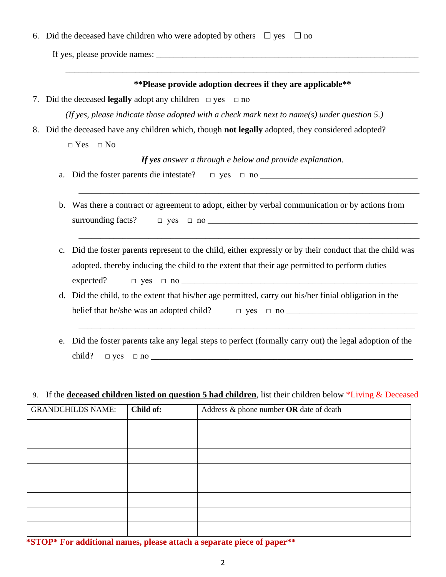6. Did the deceased have children who were adopted by others  $\Box$  yes  $\Box$  no

If yes, please provide names:  $\frac{1}{\sqrt{1-\frac{1}{2}}}\left[\frac{1}{\sqrt{1-\frac{1}{2}}}\right]$ 

|                                                                                             |                                                                                                                                                       |                          |           | ** Please provide adoption decrees if they are applicable **                                                                                                                                           |  |  |
|---------------------------------------------------------------------------------------------|-------------------------------------------------------------------------------------------------------------------------------------------------------|--------------------------|-----------|--------------------------------------------------------------------------------------------------------------------------------------------------------------------------------------------------------|--|--|
|                                                                                             | 7. Did the deceased legally adopt any children $\Box$ yes $\Box$ no                                                                                   |                          |           |                                                                                                                                                                                                        |  |  |
| (If yes, please indicate those adopted with a check mark next to name(s) under question 5.) |                                                                                                                                                       |                          |           |                                                                                                                                                                                                        |  |  |
|                                                                                             |                                                                                                                                                       |                          |           | 8. Did the deceased have any children which, though not legally adopted, they considered adopted?                                                                                                      |  |  |
|                                                                                             |                                                                                                                                                       | $\Box$ Yes $\Box$ No     |           |                                                                                                                                                                                                        |  |  |
|                                                                                             |                                                                                                                                                       |                          |           | If yes answer a through e below and provide explanation.                                                                                                                                               |  |  |
|                                                                                             | a.                                                                                                                                                    |                          |           |                                                                                                                                                                                                        |  |  |
|                                                                                             | Was there a contract or agreement to adopt, either by verbal communication or by actions from<br>$\mathbf b$ .<br>surrounding facts?                  |                          |           |                                                                                                                                                                                                        |  |  |
|                                                                                             | $\mathbf{c}$ .                                                                                                                                        | expected?                |           | Did the foster parents represent to the child, either expressly or by their conduct that the child was<br>adopted, thereby inducing the child to the extent that their age permitted to perform duties |  |  |
|                                                                                             | Did the child, to the extent that his/her age permitted, carry out his/her finial obligation in the<br>d.<br>belief that he/she was an adopted child? |                          |           |                                                                                                                                                                                                        |  |  |
|                                                                                             | e.                                                                                                                                                    | child?                   |           | Did the foster parents take any legal steps to perfect (formally carry out) the legal adoption of the<br>$\Box$ yes $\Box$ no $\Box$                                                                   |  |  |
|                                                                                             |                                                                                                                                                       |                          |           | 9. If the <b>deceased children listed on question 5 had children</b> , list their children below *Living & Deceased                                                                                    |  |  |
|                                                                                             |                                                                                                                                                       | <b>GRANDCHILDS NAME:</b> | Child of: | Address $\&$ phone number OR date of death                                                                                                                                                             |  |  |
|                                                                                             |                                                                                                                                                       |                          |           |                                                                                                                                                                                                        |  |  |
|                                                                                             |                                                                                                                                                       |                          |           |                                                                                                                                                                                                        |  |  |
|                                                                                             |                                                                                                                                                       |                          |           |                                                                                                                                                                                                        |  |  |
|                                                                                             |                                                                                                                                                       |                          |           |                                                                                                                                                                                                        |  |  |
|                                                                                             |                                                                                                                                                       |                          |           |                                                                                                                                                                                                        |  |  |
|                                                                                             |                                                                                                                                                       |                          |           |                                                                                                                                                                                                        |  |  |

**\*STOP\* For additional names, please attach a separate piece of paper\*\***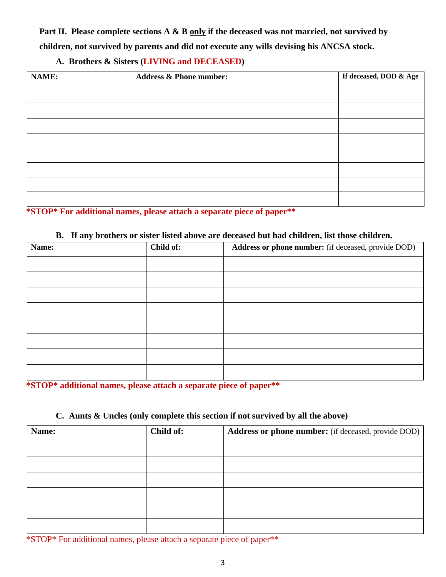**Part II. Please complete sections A & B only if the deceased was not married, not survived by children, not survived by parents and did not execute any wills devising his ANCSA stock.**

## **A. Brothers & Sisters (LIVING and DECEASED)**

| <b>NAME:</b> | <b>Address &amp; Phone number:</b> | If deceased, DOD & Age |
|--------------|------------------------------------|------------------------|
|              |                                    |                        |
|              |                                    |                        |
|              |                                    |                        |
|              |                                    |                        |
|              |                                    |                        |
|              |                                    |                        |
|              |                                    |                        |
|              |                                    |                        |

**\*STOP\* For additional names, please attach a separate piece of paper\*\***

## **B. If any brothers or sister listed above are deceased but had children, list those children.**

| Name: | Child of: | Address or phone number: (if deceased, provide DOD) |
|-------|-----------|-----------------------------------------------------|
|       |           |                                                     |
|       |           |                                                     |
|       |           |                                                     |
|       |           |                                                     |
|       |           |                                                     |
|       |           |                                                     |
|       |           |                                                     |
|       |           |                                                     |

**\*STOP\* additional names, please attach a separate piece of paper\*\***

## **C. Aunts & Uncles (only complete this section if not survived by all the above)**

| Name: | Child of: | Address or phone number: (if deceased, provide DOD) |
|-------|-----------|-----------------------------------------------------|
|       |           |                                                     |
|       |           |                                                     |
|       |           |                                                     |
|       |           |                                                     |
|       |           |                                                     |
|       |           |                                                     |

\*STOP\* For additional names, please attach a separate piece of paper\*\*